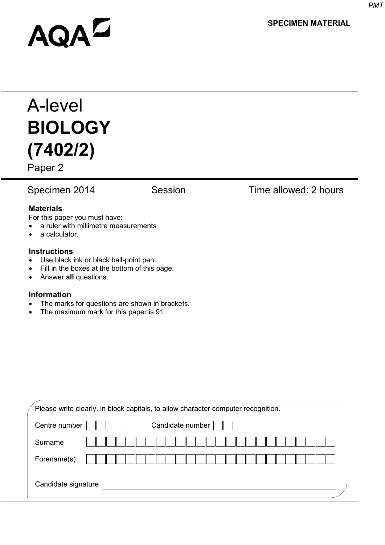**SPECIMEN MATERIAL**

# **AQAL**

## A-level **BIOLOGY (7402/2)**

Paper 2

#### Specimen 2014 Session Time allowed: 2 hours

#### **Materials**

For this paper you must have:

- a ruler with millimetre measurements
- a calculator.

#### **Instructions**

- Use black ink or black ball-point pen.
- Fill in the boxes at the bottom of this page.
- Answer **all** questions.

#### **Information**

- The marks for questions are shown in brackets.
- The maximum mark for this paper is 91.

| Please write clearly, in block capitals, to allow character computer recognition. |                  |  |  |  |  |
|-----------------------------------------------------------------------------------|------------------|--|--|--|--|
| Centre number                                                                     | Candidate number |  |  |  |  |
| Surname                                                                           |                  |  |  |  |  |
| Forename(s)                                                                       |                  |  |  |  |  |
| Candidate signature                                                               |                  |  |  |  |  |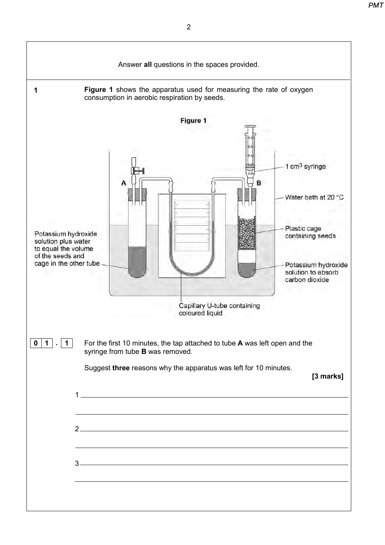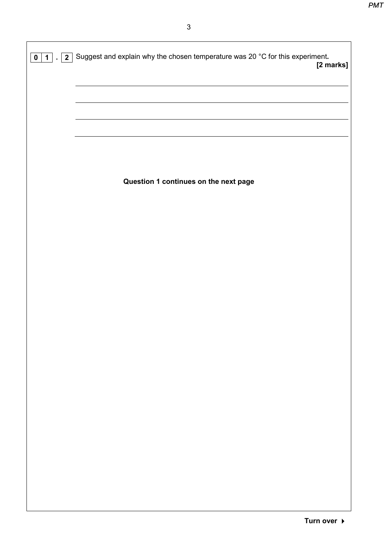| $\mathfrak{S}$                                                                                                        |
|-----------------------------------------------------------------------------------------------------------------------|
| $\boxed{0}$ 1. $\boxed{2}$ Suggest and explain why the chosen temperature was 20 °C for this experiment.<br>[2 marks] |
|                                                                                                                       |
|                                                                                                                       |
|                                                                                                                       |
|                                                                                                                       |
| Question 1 continues on the next page                                                                                 |
|                                                                                                                       |
|                                                                                                                       |
|                                                                                                                       |
|                                                                                                                       |
|                                                                                                                       |
|                                                                                                                       |
|                                                                                                                       |
|                                                                                                                       |
|                                                                                                                       |
|                                                                                                                       |
|                                                                                                                       |
|                                                                                                                       |
|                                                                                                                       |
|                                                                                                                       |
|                                                                                                                       |
|                                                                                                                       |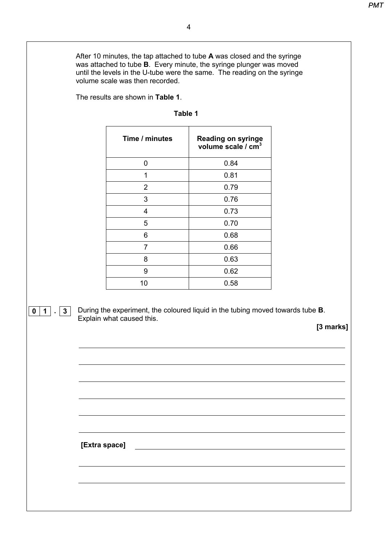After 10 minutes, the tap attached to tube **A** was closed and the syringe was attached to tube **B**. Every minute, the syringe plunger was moved until the levels in the U-tube were the same. The reading on the syringe volume scale was then recorded.

The results are shown in **Table 1**.

| Table |  |
|-------|--|
|-------|--|

|               | Time / minutes            | Reading on syringe<br>volume scale / cm <sup>3</sup> |
|---------------|---------------------------|------------------------------------------------------|
|               | $\pmb{0}$                 | 0.84                                                 |
|               | 1                         | 0.81                                                 |
|               | $\overline{2}$            | 0.79                                                 |
|               | $\ensuremath{\mathsf{3}}$ | 0.76                                                 |
|               | $\overline{\mathbf{4}}$   | 0.73                                                 |
|               | $\sqrt{5}$                | 0.70                                                 |
|               | $\,6\,$                   | 0.68                                                 |
|               | $\overline{7}$            | 0.66                                                 |
|               | $\bf 8$                   | 0.63                                                 |
|               | $\boldsymbol{9}$          | 0.62                                                 |
|               | 10                        | 0.58                                                 |
|               |                           |                                                      |
|               |                           |                                                      |
|               |                           |                                                      |
|               |                           |                                                      |
|               |                           |                                                      |
|               |                           |                                                      |
|               |                           |                                                      |
| [Extra space] |                           |                                                      |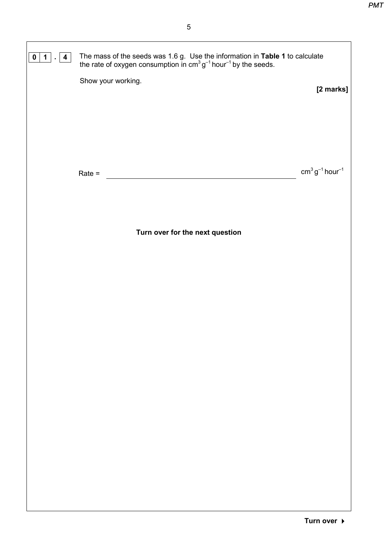| $\vert$ 4<br>$\mathbf 1$<br>$\mathbf 0$<br>$\blacksquare$ | The mass of the seeds was 1.6 g. Use the information in <b>Table 1</b> to calculate the rate of oxygen consumption in $cm^3 g^{-1}$ hour <sup>-1</sup> by the seeds. |                  |
|-----------------------------------------------------------|----------------------------------------------------------------------------------------------------------------------------------------------------------------------|------------------|
|                                                           | Show your working.                                                                                                                                                   | [2 marks]        |
|                                                           |                                                                                                                                                                      |                  |
|                                                           |                                                                                                                                                                      |                  |
|                                                           | $Rate =$                                                                                                                                                             | $cm3 g-1 hour-1$ |
|                                                           |                                                                                                                                                                      |                  |
|                                                           | Turn over for the next question                                                                                                                                      |                  |
|                                                           |                                                                                                                                                                      |                  |
|                                                           |                                                                                                                                                                      |                  |
|                                                           |                                                                                                                                                                      |                  |
|                                                           |                                                                                                                                                                      |                  |
|                                                           |                                                                                                                                                                      |                  |
|                                                           |                                                                                                                                                                      |                  |
|                                                           |                                                                                                                                                                      |                  |
|                                                           |                                                                                                                                                                      |                  |
|                                                           |                                                                                                                                                                      |                  |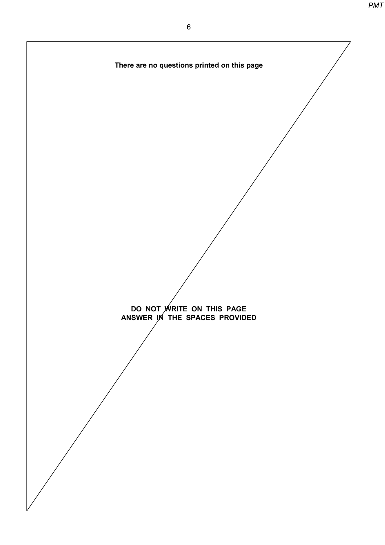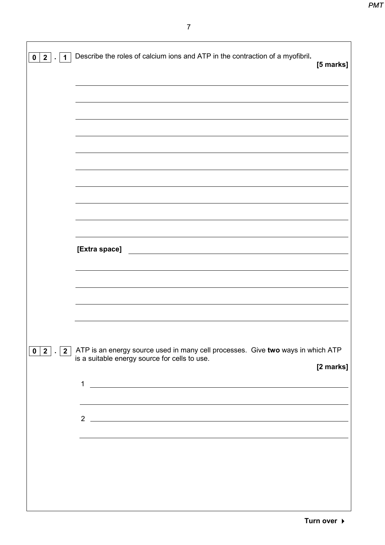| $0 \mid 2$<br>$\mathbf 1$ | Describe the roles of calcium ions and ATP in the contraction of a myofibril.<br>[5 marks]                                           |
|---------------------------|--------------------------------------------------------------------------------------------------------------------------------------|
|                           |                                                                                                                                      |
|                           |                                                                                                                                      |
|                           |                                                                                                                                      |
|                           |                                                                                                                                      |
|                           |                                                                                                                                      |
|                           |                                                                                                                                      |
|                           | [Extra space]<br><u> 1989 - Jan Sterling von Berger von Berger von Berger von Berger von Berger von Berger von Berger von Berger</u> |
|                           |                                                                                                                                      |
|                           |                                                                                                                                      |
| $0 2 $ .   2              | ATP is an energy source used in many cell processes. Give two ways in which ATP                                                      |
|                           | is a suitable energy source for cells to use.<br>[2 marks]                                                                           |
|                           | $\mathbf 1$<br><u> 1980 - Jan James Barnett, fransk politik (d. 1980)</u>                                                            |
|                           | 2 $\overline{\phantom{a}}$                                                                                                           |
|                           |                                                                                                                                      |
|                           |                                                                                                                                      |
|                           |                                                                                                                                      |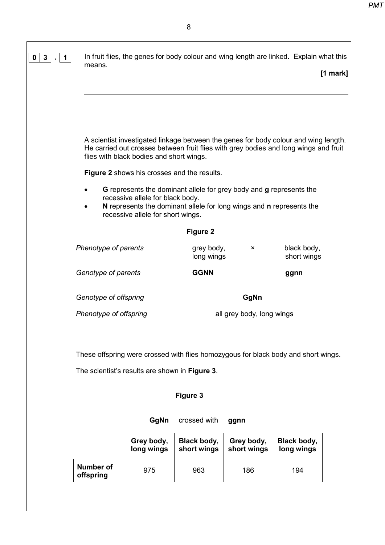| $\mathbf{3}$<br>$\mathbf 1$<br>$\mathbf 0$ | In fruit flies, the genes for body colour and wing length are linked. Explain what this<br>means.                                                                                                                                                                             |                          |                           | $[1$ mark]                 |  |
|--------------------------------------------|-------------------------------------------------------------------------------------------------------------------------------------------------------------------------------------------------------------------------------------------------------------------------------|--------------------------|---------------------------|----------------------------|--|
|                                            |                                                                                                                                                                                                                                                                               |                          |                           |                            |  |
|                                            | A scientist investigated linkage between the genes for body colour and wing length.<br>He carried out crosses between fruit flies with grey bodies and long wings and fruit<br>flies with black bodies and short wings.<br><b>Figure 2</b> shows his crosses and the results. |                          |                           |                            |  |
|                                            | G represents the dominant allele for grey body and g represents the<br>recessive allele for black body.<br>N represents the dominant allele for long wings and n represents the<br>recessive allele for short wings.                                                          |                          |                           |                            |  |
|                                            |                                                                                                                                                                                                                                                                               | <b>Figure 2</b>          |                           |                            |  |
|                                            | Phenotype of parents                                                                                                                                                                                                                                                          | grey body,<br>long wings | ×                         | black body,<br>short wings |  |
|                                            | Genotype of parents                                                                                                                                                                                                                                                           | <b>GGNN</b>              |                           | ggnn                       |  |
|                                            | Genotype of offspring                                                                                                                                                                                                                                                         |                          | GgNn                      |                            |  |
|                                            | Phenotype of offspring                                                                                                                                                                                                                                                        |                          | all grey body, long wings |                            |  |
|                                            |                                                                                                                                                                                                                                                                               |                          |                           |                            |  |
|                                            | These offspring were crossed with flies homozygous for black body and short wings.                                                                                                                                                                                            |                          |                           |                            |  |
|                                            | The scientist's results are shown in Figure 3.                                                                                                                                                                                                                                |                          |                           |                            |  |
|                                            |                                                                                                                                                                                                                                                                               | <b>Figure 3</b>          |                           |                            |  |

 **GgNn** crossed with **ggnn Grey body, long wings Black body, short wings Grey body, short wings Black body, long wings Number of offspring** <sup>975</sup> <sup>963</sup> <sup>186</sup> <sup>194</sup>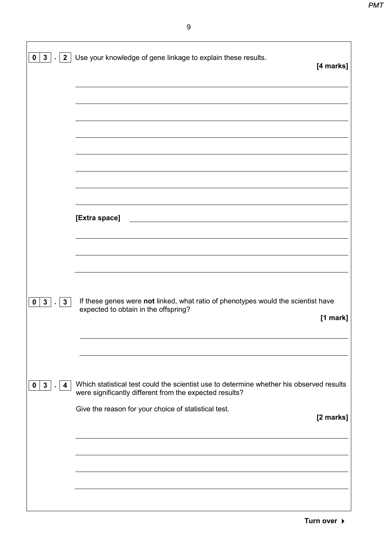|                                     | $\mathbf{0}$   $\mathbf{3}$   .   $\mathbf{2}$   Use your knowledge of gene linkage to explain these results.<br>[4 marks]                          |
|-------------------------------------|-----------------------------------------------------------------------------------------------------------------------------------------------------|
|                                     |                                                                                                                                                     |
|                                     |                                                                                                                                                     |
|                                     |                                                                                                                                                     |
|                                     |                                                                                                                                                     |
|                                     | [Extra space]<br><u> 1980 - Johann Barn, mars ar breithinn ar chuid ann an t-Alban ann an t-Alban ann an t-Alban ann an t-Alban a</u>               |
|                                     |                                                                                                                                                     |
| $0 \mid 3 \mid$ .<br>3 <sup>1</sup> | If these genes were not linked, what ratio of phenotypes would the scientist have<br>expected to obtain in the offspring?<br>$[1$ mark]             |
| $0 \mid 3$<br>4                     | Which statistical test could the scientist use to determine whether his observed results<br>were significantly different from the expected results? |
|                                     | Give the reason for your choice of statistical test.<br>[2 marks]                                                                                   |
|                                     |                                                                                                                                                     |
|                                     |                                                                                                                                                     |
|                                     |                                                                                                                                                     |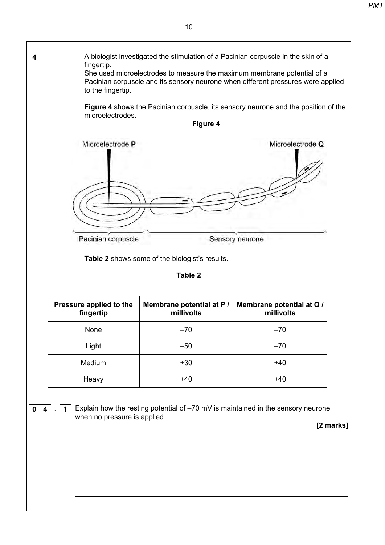| microelectrodes.                       | Figure 4 shows the Pacinian corpuscle, its sensory neurone and the position of the<br>Figure 4 |                                     |
|----------------------------------------|------------------------------------------------------------------------------------------------|-------------------------------------|
| Microelectrode P<br>Pacinian corpuscle |                                                                                                | Microelectrode Q<br>Sensory neurone |
|                                        | Table 2 shows some of the biologist's results.<br><b>Table 2</b>                               |                                     |
| Pressure applied to the                | Membrane potential at P /                                                                      | Membrane potential at Q /           |
| fingertip                              | millivolts                                                                                     | millivolts                          |
| None                                   | $-70$                                                                                          | $-70$                               |
| Light                                  | $-50$                                                                                          | $-70$                               |
|                                        | $+30$                                                                                          | $+40$                               |
| Medium                                 |                                                                                                |                                     |
| Heavy                                  | $+40$                                                                                          | $+40$                               |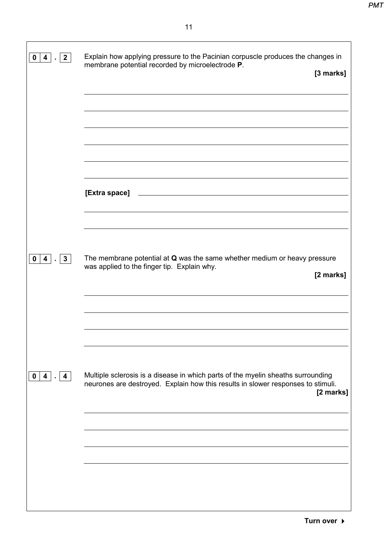| 0  4   2                    | Explain how applying pressure to the Pacinian corpuscle produces the changes in<br>membrane potential recorded by microelectrode P.<br>[3 marks]                                  |
|-----------------------------|-----------------------------------------------------------------------------------------------------------------------------------------------------------------------------------|
|                             |                                                                                                                                                                                   |
|                             | [Extra space]                                                                                                                                                                     |
|                             |                                                                                                                                                                                   |
| $0  4 $   3                 | The membrane potential at Q was the same whether medium or heavy pressure<br>was applied to the finger tip. Explain why.<br>[2 marks]                                             |
|                             |                                                                                                                                                                                   |
| $\mathbf{0}$<br>$4 \cdot 4$ | Multiple sclerosis is a disease in which parts of the myelin sheaths surrounding<br>neurones are destroyed. Explain how this results in slower responses to stimuli.<br>[2 marks] |
|                             |                                                                                                                                                                                   |
|                             |                                                                                                                                                                                   |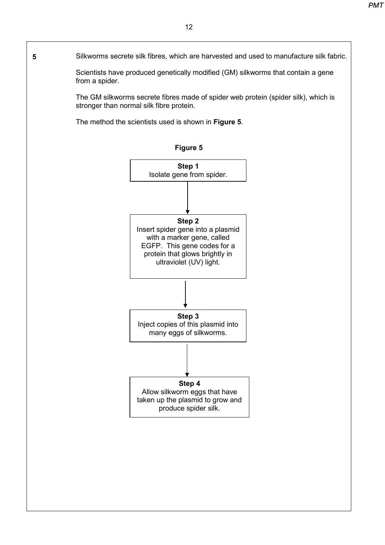#### Silkworms secrete silk fibres, which are harvested and used to manufacture silk fabric.

Scientists have produced genetically modified (GM) silkworms that contain a gene from a spider.

The GM silkworms secrete fibres made of spider web protein (spider silk), which is stronger than normal silk fibre protein.

The method the scientists used is shown in **Figure 5**.



**5**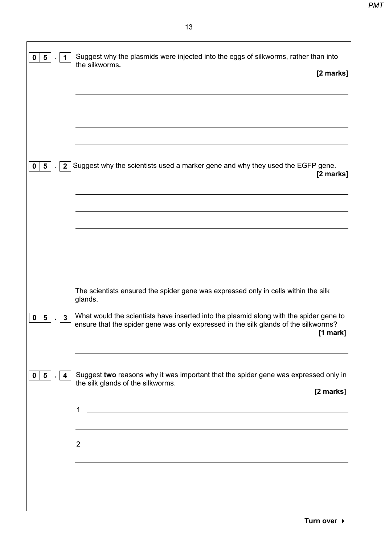| 5 <sub>5</sub><br>0<br>1                        | Suggest why the plasmids were injected into the eggs of silkworms, rather than into<br>the silkworms.<br>[2 marks]                                                                                    |
|-------------------------------------------------|-------------------------------------------------------------------------------------------------------------------------------------------------------------------------------------------------------|
|                                                 |                                                                                                                                                                                                       |
| 5 <sup>1</sup><br>2 <sup>1</sup><br>$\mathbf 0$ | Suggest why the scientists used a marker gene and why they used the EGFP gene.<br>[2 marks]                                                                                                           |
|                                                 |                                                                                                                                                                                                       |
|                                                 |                                                                                                                                                                                                       |
|                                                 | The scientists ensured the spider gene was expressed only in cells within the silk<br>glands.                                                                                                         |
| 3<br>5.<br>0                                    | What would the scientists have inserted into the plasmid along with the spider gene to<br>ensure that the spider gene was only expressed in the silk glands of the silkworms?<br>$[1$ mark]           |
| 5 <sub>1</sub><br>0<br>4                        | Suggest two reasons why it was important that the spider gene was expressed only in<br>the silk glands of the silkworms.<br>[2 marks]<br>1<br><u> 1980 - Johann Barnett, fransk politik (f. 1980)</u> |
|                                                 | $\overline{2}$                                                                                                                                                                                        |
|                                                 |                                                                                                                                                                                                       |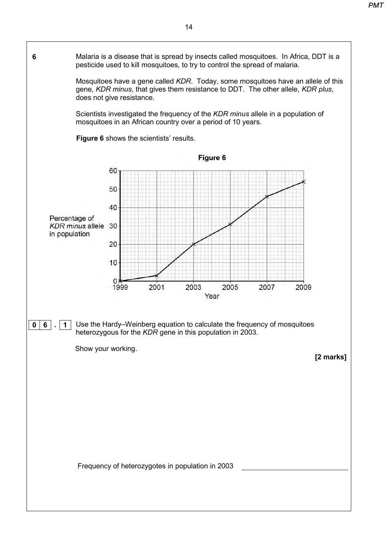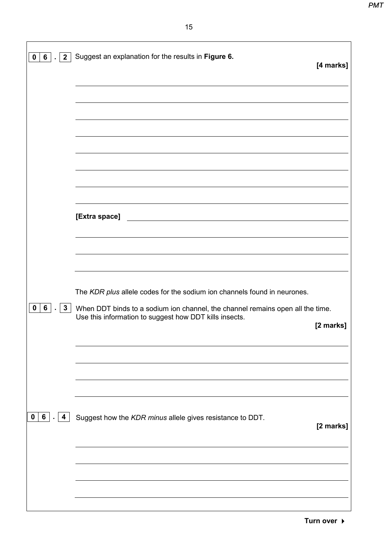| $0 \mid 6 \mid$<br>$\overline{2}$                         | Suggest an explanation for the results in Figure 6.                                                                                                                                                                  | [4 marks] |
|-----------------------------------------------------------|----------------------------------------------------------------------------------------------------------------------------------------------------------------------------------------------------------------------|-----------|
|                                                           |                                                                                                                                                                                                                      |           |
|                                                           |                                                                                                                                                                                                                      |           |
|                                                           |                                                                                                                                                                                                                      |           |
|                                                           | [Extra space]<br><u> 1980 - Johann Barn, mars ann an t-Amhain Aonaich an t-Aonaich an t-Aonaich ann an t-Aonaich ann an t-Aonaich</u>                                                                                |           |
|                                                           |                                                                                                                                                                                                                      |           |
| $6\overline{6}$<br>$\mathbf{0}$<br>$\mathbf{3}$<br>$\sim$ | The KDR plus allele codes for the sodium ion channels found in neurones.<br>When DDT binds to a sodium ion channel, the channel remains open all the time.<br>Use this information to suggest how DDT kills insects. | [2 marks] |
|                                                           |                                                                                                                                                                                                                      |           |
| 6<br>$\mathbf 0$<br>$\overline{\mathbf{4}}$               | Suggest how the KDR minus allele gives resistance to DDT.                                                                                                                                                            | [2 marks] |
|                                                           |                                                                                                                                                                                                                      |           |
|                                                           |                                                                                                                                                                                                                      |           |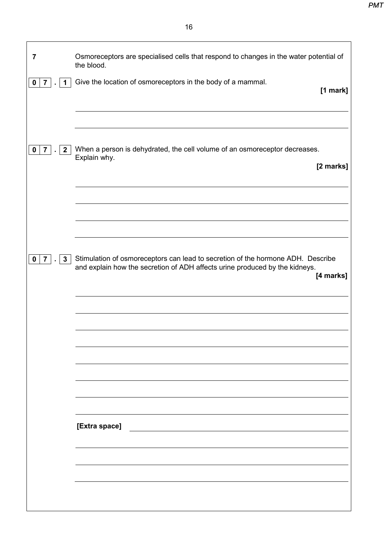$\overline{\mathbf{1}}$ 

 $\mathsf{r}$ 

| 7                                            | Osmoreceptors are specialised cells that respond to changes in the water potential of<br>the blood.                                                                         |
|----------------------------------------------|-----------------------------------------------------------------------------------------------------------------------------------------------------------------------------|
| $\mathbf 0$<br>$\overline{7}$<br>$\mathbf 1$ | Give the location of osmoreceptors in the body of a mammal.<br>[1 mark]                                                                                                     |
|                                              |                                                                                                                                                                             |
| 7 <sup>1</sup><br>$\mathbf{2}$<br>0          | When a person is dehydrated, the cell volume of an osmoreceptor decreases.<br>Explain why.<br>[2 marks]                                                                     |
|                                              |                                                                                                                                                                             |
|                                              |                                                                                                                                                                             |
| $\mathbf{3}$<br>0<br>$\overline{7}$          | Stimulation of osmoreceptors can lead to secretion of the hormone ADH. Describe<br>and explain how the secretion of ADH affects urine produced by the kidneys.<br>[4 marks] |
|                                              |                                                                                                                                                                             |
|                                              |                                                                                                                                                                             |
|                                              |                                                                                                                                                                             |
|                                              |                                                                                                                                                                             |
|                                              | [Extra space]                                                                                                                                                               |
|                                              |                                                                                                                                                                             |
|                                              |                                                                                                                                                                             |
|                                              |                                                                                                                                                                             |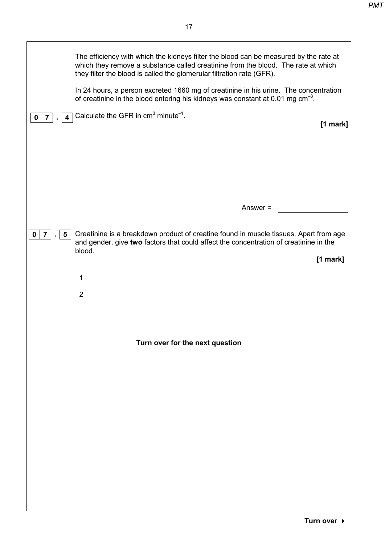|                                                  | The efficiency with which the kidneys filter the blood can be measured by the rate at<br>which they remove a substance called creatinine from the blood. The rate at which<br>they filter the blood is called the glomerular filtration rate (GFR).<br>In 24 hours, a person excreted 1660 mg of creatinine in his urine. The concentration<br>of creatinine in the blood entering his kidneys was constant at 0.01 mg $cm^{-3}$ . |
|--------------------------------------------------|------------------------------------------------------------------------------------------------------------------------------------------------------------------------------------------------------------------------------------------------------------------------------------------------------------------------------------------------------------------------------------------------------------------------------------|
| $\overline{4}$<br>$\overline{7}$<br>$\mathbf 0$  | Calculate the GFR in $cm3$ minute <sup>-1</sup> .<br>[1 mark]                                                                                                                                                                                                                                                                                                                                                                      |
|                                                  | Answer =                                                                                                                                                                                                                                                                                                                                                                                                                           |
| $\overline{7}$<br>$5\phantom{.0}$<br>$\mathbf 0$ | Creatinine is a breakdown product of creatine found in muscle tissues. Apart from age<br>and gender, give two factors that could affect the concentration of creatinine in the<br>blood.<br>$[1$ mark]<br>1<br>$\overline{2}$                                                                                                                                                                                                      |
|                                                  | Turn over for the next question                                                                                                                                                                                                                                                                                                                                                                                                    |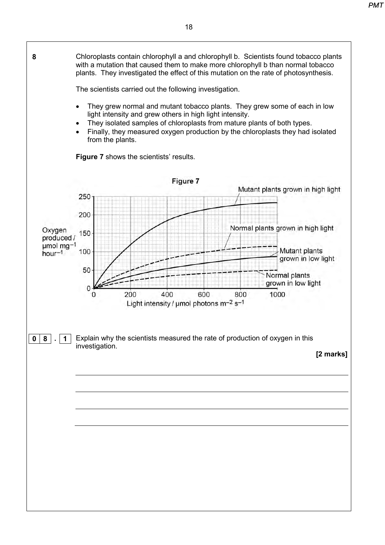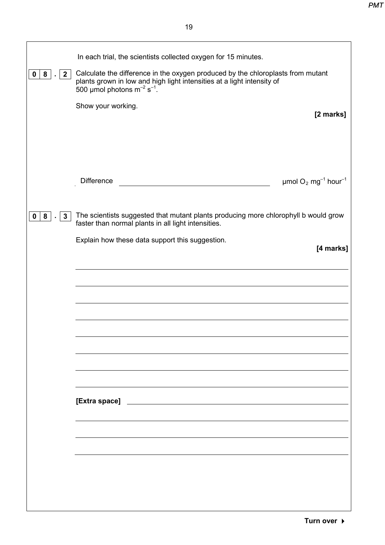| 8<br>$\mathbf 0$<br>$\mathbf{2}$ | In each trial, the scientists collected oxygen for 15 minutes.<br>Calculate the difference in the oxygen produced by the chloroplasts from mutant<br>plants grown in low and high light intensities at a light intensity of 500 µmol photons $m^{-2} s^{-1}$ .<br>Show your working.<br>[2 marks] |
|----------------------------------|---------------------------------------------------------------------------------------------------------------------------------------------------------------------------------------------------------------------------------------------------------------------------------------------------|
| 8<br>$\mathbf{3}$<br>0           | <b>Difference</b><br>$\mu$ mol O <sub>2</sub> mg <sup>-1</sup> hour <sup>-1</sup><br>The scientists suggested that mutant plants producing more chlorophyll b would grow                                                                                                                          |
|                                  | faster than normal plants in all light intensities.<br>Explain how these data support this suggestion.<br>[4 marks]                                                                                                                                                                               |
|                                  |                                                                                                                                                                                                                                                                                                   |
|                                  |                                                                                                                                                                                                                                                                                                   |
|                                  |                                                                                                                                                                                                                                                                                                   |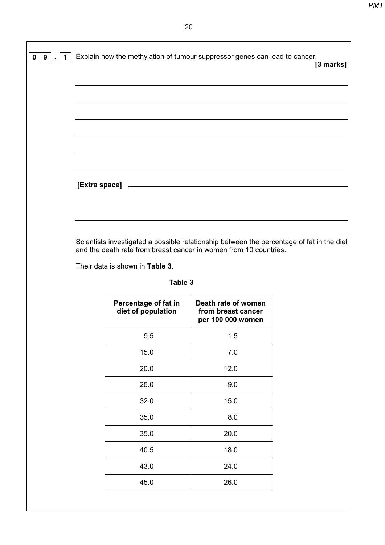| 0   9   .   1 | Explain how the methylation of tumour suppressor genes can lead to cancer. | [3 marks] |
|---------------|----------------------------------------------------------------------------|-----------|
|               |                                                                            |           |
|               |                                                                            |           |
|               |                                                                            |           |
|               | [Extra space] <b>Extra space</b> [30]                                      |           |
|               |                                                                            |           |

Scientists investigated a possible relationship between the percentage of fat in the diet and the death rate from breast cancer in women from 10 countries.

Their data is shown in **Table 3**.

| Percentage of fat in<br>diet of population | Death rate of women<br>from breast cancer<br>per 100 000 women |
|--------------------------------------------|----------------------------------------------------------------|
| 9.5                                        | 1.5                                                            |
| 15.0                                       | 7.0                                                            |
| 20.0                                       | 12.0                                                           |
| 25.0                                       | 9.0                                                            |
| 32.0                                       | 15.0                                                           |
| 35.0                                       | 8.0                                                            |
| 35.0                                       | 20.0                                                           |
| 40.5                                       | 18.0                                                           |
| 43.0                                       | 24.0                                                           |
| 45.0                                       | 26.0                                                           |

**Table 3**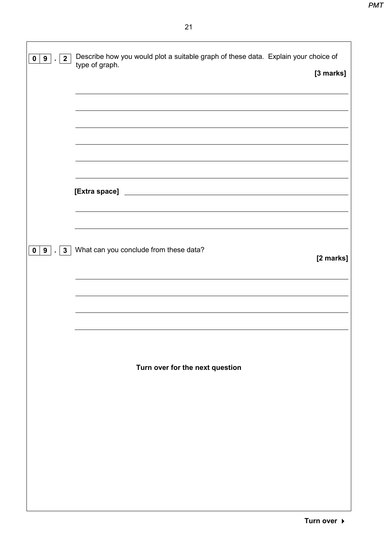| 0   9   .   2   | Describe how you would plot a suitable graph of these data. Explain your choice of<br>type of graph. |           |
|-----------------|------------------------------------------------------------------------------------------------------|-----------|
|                 |                                                                                                      | [3 marks] |
|                 |                                                                                                      |           |
|                 |                                                                                                      |           |
|                 |                                                                                                      |           |
|                 |                                                                                                      |           |
|                 |                                                                                                      |           |
|                 |                                                                                                      |           |
|                 |                                                                                                      |           |
|                 |                                                                                                      |           |
|                 |                                                                                                      |           |
| .   3           | What can you conclude from these data?                                                               |           |
| $0 \mid 9 \mid$ |                                                                                                      | [2 marks] |
|                 |                                                                                                      |           |
|                 |                                                                                                      |           |
|                 |                                                                                                      |           |
|                 |                                                                                                      |           |
|                 |                                                                                                      |           |
|                 |                                                                                                      |           |
|                 | Turn over for the next question                                                                      |           |
|                 |                                                                                                      |           |
|                 |                                                                                                      |           |
|                 |                                                                                                      |           |
|                 |                                                                                                      |           |
|                 |                                                                                                      |           |
|                 |                                                                                                      |           |
|                 |                                                                                                      |           |
|                 |                                                                                                      |           |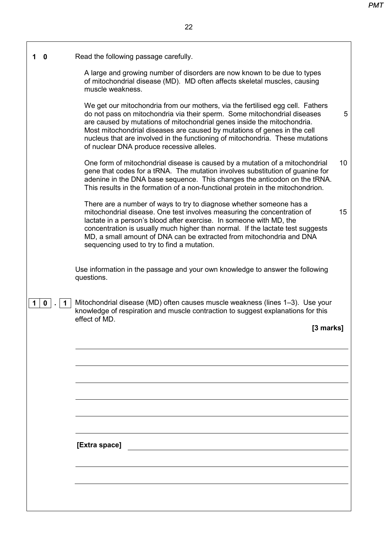| O                | Read the following passage carefully.                                                                                                                                                                                                                                                                                                                                                                                                           |    |
|------------------|-------------------------------------------------------------------------------------------------------------------------------------------------------------------------------------------------------------------------------------------------------------------------------------------------------------------------------------------------------------------------------------------------------------------------------------------------|----|
|                  | A large and growing number of disorders are now known to be due to types<br>of mitochondrial disease (MD). MD often affects skeletal muscles, causing<br>muscle weakness.                                                                                                                                                                                                                                                                       |    |
|                  | We get our mitochondria from our mothers, via the fertilised egg cell. Fathers<br>do not pass on mitochondria via their sperm. Some mitochondrial diseases<br>are caused by mutations of mitochondrial genes inside the mitochondria.<br>Most mitochondrial diseases are caused by mutations of genes in the cell<br>nucleus that are involved in the functioning of mitochondria. These mutations<br>of nuclear DNA produce recessive alleles. | 5  |
|                  | One form of mitochondrial disease is caused by a mutation of a mitochondrial<br>gene that codes for a tRNA. The mutation involves substitution of guanine for<br>adenine in the DNA base sequence. This changes the anticodon on the tRNA.<br>This results in the formation of a non-functional protein in the mitochondrion.                                                                                                                   | 10 |
|                  | There are a number of ways to try to diagnose whether someone has a<br>mitochondrial disease. One test involves measuring the concentration of<br>lactate in a person's blood after exercise. In someone with MD, the<br>concentration is usually much higher than normal. If the lactate test suggests<br>MD, a small amount of DNA can be extracted from mitochondria and DNA<br>sequencing used to try to find a mutation.                   | 15 |
|                  | Use information in the passage and your own knowledge to answer the following<br>questions.                                                                                                                                                                                                                                                                                                                                                     |    |
| $\mathbf 0$<br>1 | Mitochondrial disease (MD) often causes muscle weakness (lines 1–3). Use your<br>knowledge of respiration and muscle contraction to suggest explanations for this<br>effect of MD.<br>[3 marks]                                                                                                                                                                                                                                                 |    |
|                  |                                                                                                                                                                                                                                                                                                                                                                                                                                                 |    |
|                  |                                                                                                                                                                                                                                                                                                                                                                                                                                                 |    |
|                  |                                                                                                                                                                                                                                                                                                                                                                                                                                                 |    |
|                  |                                                                                                                                                                                                                                                                                                                                                                                                                                                 |    |
|                  |                                                                                                                                                                                                                                                                                                                                                                                                                                                 |    |
|                  |                                                                                                                                                                                                                                                                                                                                                                                                                                                 |    |
|                  | [Extra space]                                                                                                                                                                                                                                                                                                                                                                                                                                   |    |
|                  |                                                                                                                                                                                                                                                                                                                                                                                                                                                 |    |
|                  |                                                                                                                                                                                                                                                                                                                                                                                                                                                 |    |
|                  |                                                                                                                                                                                                                                                                                                                                                                                                                                                 |    |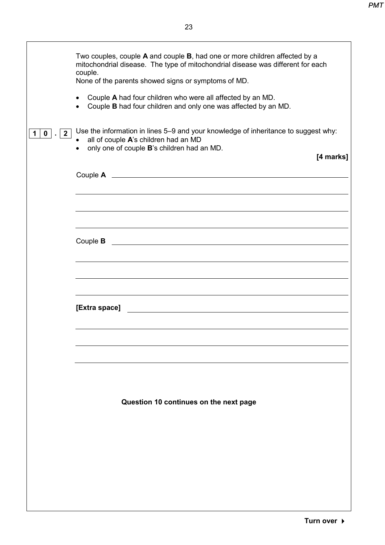|                                 | Two couples, couple A and couple B, had one or more children affected by a<br>mitochondrial disease. The type of mitochondrial disease was different for each                                        |
|---------------------------------|------------------------------------------------------------------------------------------------------------------------------------------------------------------------------------------------------|
|                                 | couple.<br>None of the parents showed signs or symptoms of MD.                                                                                                                                       |
|                                 | Couple A had four children who were all affected by an MD.<br>$\bullet$<br>Couple B had four children and only one was affected by an MD.                                                            |
| $2^{\circ}$<br>$\mathbf 0$<br>1 | Use the information in lines 5–9 and your knowledge of inheritance to suggest why:<br>• all of couple A's children had an MD<br>only one of couple B's children had an MD.<br>$\bullet$<br>[4 marks] |
|                                 |                                                                                                                                                                                                      |
|                                 |                                                                                                                                                                                                      |
|                                 |                                                                                                                                                                                                      |
|                                 | Couple <b>B</b><br><u> 1980 - Jan James Barnett, fransk politik (d. 1980)</u>                                                                                                                        |
|                                 |                                                                                                                                                                                                      |
|                                 | [Extra space]                                                                                                                                                                                        |
|                                 |                                                                                                                                                                                                      |
|                                 |                                                                                                                                                                                                      |
|                                 |                                                                                                                                                                                                      |
|                                 | Question 10 continues on the next page                                                                                                                                                               |
|                                 |                                                                                                                                                                                                      |
|                                 |                                                                                                                                                                                                      |
|                                 |                                                                                                                                                                                                      |
|                                 |                                                                                                                                                                                                      |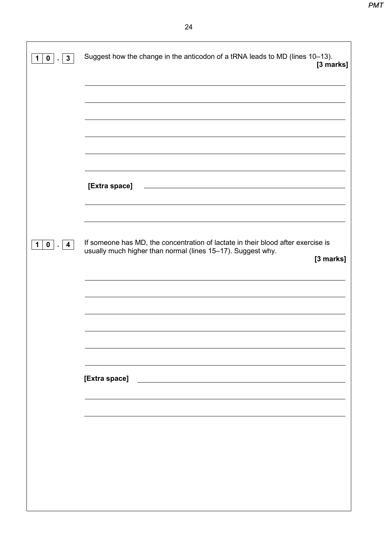| $\mathbf{3}$<br>$\mathbf{0}$<br>1<br>$\blacksquare$ | Suggest how the change in the anticodon of a tRNA leads to MD (lines 10-13).<br>[3 marks]                                                                    |
|-----------------------------------------------------|--------------------------------------------------------------------------------------------------------------------------------------------------------------|
|                                                     |                                                                                                                                                              |
|                                                     |                                                                                                                                                              |
|                                                     | <u> 1989 - Johann Stoff, deutscher Stoffen und der Stoffen und der Stoffen und der Stoffen und der Stoffen und der</u><br>[Extra space]                      |
|                                                     |                                                                                                                                                              |
| $0$ $\vert$ $\vert$ 4<br>1 <sup>1</sup>             | If someone has MD, the concentration of lactate in their blood after exercise is<br>usually much higher than normal (lines 15-17). Suggest why.<br>[3 marks] |
|                                                     |                                                                                                                                                              |
|                                                     |                                                                                                                                                              |
|                                                     | [Extra space]<br><u> 1989 - Johann Barbara, martin a</u>                                                                                                     |
|                                                     |                                                                                                                                                              |
|                                                     |                                                                                                                                                              |
|                                                     |                                                                                                                                                              |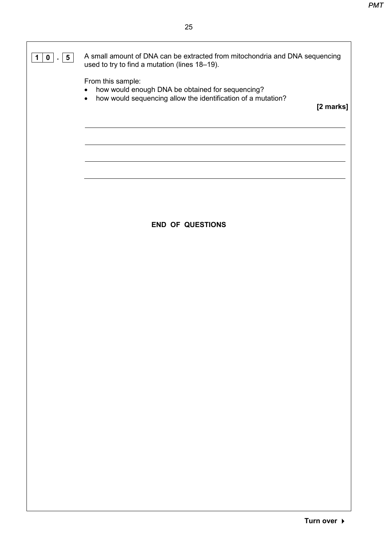### **1 0 . 5**

A small amount of DNA can be extracted from mitochondria and DNA sequencing used to try to find a mutation (lines 18–19).

From this sample:

- how would enough DNA be obtained for sequencing?
- how would sequencing allow the identification of a mutation?

**[2 marks]**

#### **END OF QUESTIONS**